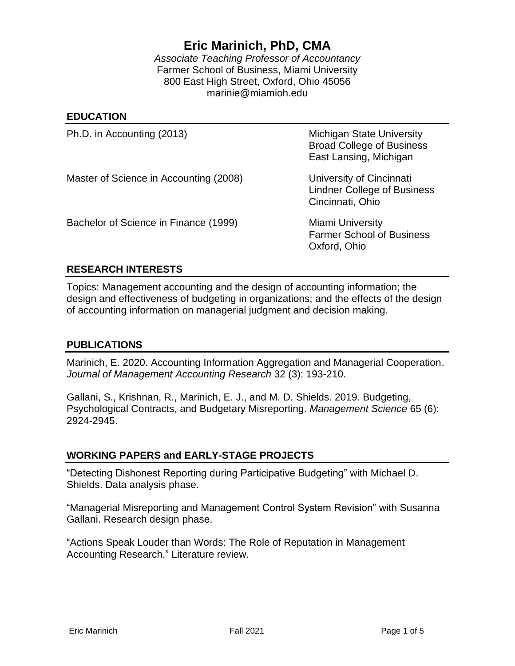# **Eric Marinich, PhD, CMA**

*Associate Teaching Professor of Accountancy* Farmer School of Business, Miami University 800 East High Street, Oxford, Ohio 45056 marinie@miamioh.edu

#### **EDUCATION**

Ph.D. in Accounting (2013) Michigan State University

 Broad College of Business East Lansing, Michigan

Master of Science in Accounting (2008) University of Cincinnati

 Lindner College of Business Cincinnati, Ohio

Bachelor of Science in Finance (1999) Miami University

 Farmer School of Business Oxford, Ohio

## **RESEARCH INTERESTS**

Topics: Management accounting and the design of accounting information; the design and effectiveness of budgeting in organizations; and the effects of the design of accounting information on managerial judgment and decision making.

### **PUBLICATIONS**

Marinich, E. 2020. Accounting Information Aggregation and Managerial Cooperation. *Journal of Management Accounting Research* 32 (3): 193-210.

Gallani, S., Krishnan, R., Marinich, E. J., and M. D. Shields. 2019. Budgeting, Psychological Contracts, and Budgetary Misreporting. *Management Science* 65 (6): 2924-2945.

### **WORKING PAPERS and EARLY-STAGE PROJECTS**

"Detecting Dishonest Reporting during Participative Budgeting" with Michael D. Shields. Data analysis phase.

"Managerial Misreporting and Management Control System Revision" with Susanna Gallani. Research design phase.

"Actions Speak Louder than Words: The Role of Reputation in Management Accounting Research." Literature review.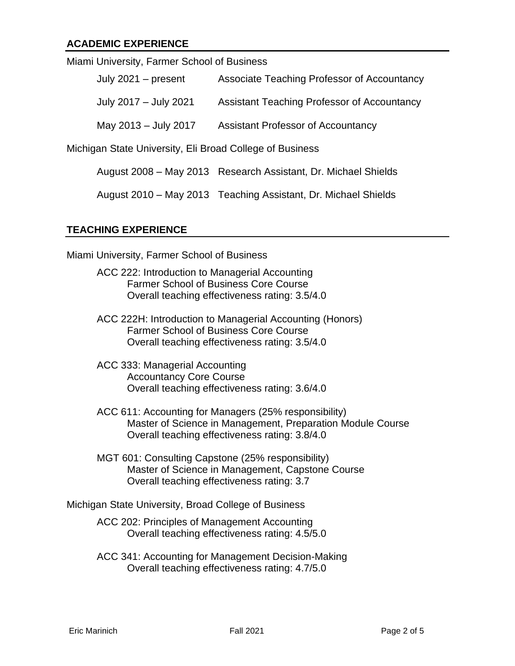## **ACADEMIC EXPERIENCE**

| Miami University, Farmer School of Business |                                             |
|---------------------------------------------|---------------------------------------------|
| July $2021 - present$                       | Associate Teaching Professor of Accountancy |
| July 2017 - July 2021                       | Assistant Teaching Professor of Accountancy |
| May 2013 - July 2017                        | <b>Assistant Professor of Accountancy</b>   |
|                                             |                                             |

Michigan State University, Eli Broad College of Business

August 2008 – May 2013 Research Assistant, Dr. Michael Shields

August 2010 – May 2013 Teaching Assistant, Dr. Michael Shields

### **TEACHING EXPERIENCE**

Miami University, Farmer School of Business

- ACC 222: Introduction to Managerial Accounting Farmer School of Business Core Course Overall teaching effectiveness rating: 3.5/4.0
- ACC 222H: Introduction to Managerial Accounting (Honors) Farmer School of Business Core Course Overall teaching effectiveness rating: 3.5/4.0
- ACC 333: Managerial Accounting Accountancy Core Course Overall teaching effectiveness rating: 3.6/4.0
- ACC 611: Accounting for Managers (25% responsibility) Master of Science in Management, Preparation Module Course Overall teaching effectiveness rating: 3.8/4.0
- MGT 601: Consulting Capstone (25% responsibility) Master of Science in Management, Capstone Course Overall teaching effectiveness rating: 3.7

Michigan State University, Broad College of Business

ACC 202: Principles of Management Accounting Overall teaching effectiveness rating: 4.5/5.0

ACC 341: Accounting for Management Decision-Making Overall teaching effectiveness rating: 4.7/5.0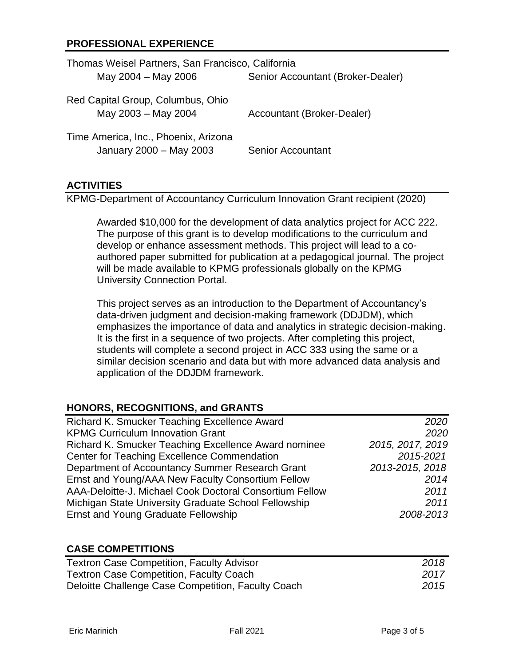## **PROFESSIONAL EXPERIENCE**

| Thomas Weisel Partners, San Francisco, California               |                                   |
|-----------------------------------------------------------------|-----------------------------------|
| May 2004 - May 2006                                             | Senior Accountant (Broker-Dealer) |
| Red Capital Group, Columbus, Ohio<br>May 2003 - May 2004        | Accountant (Broker-Dealer)        |
| Time America, Inc., Phoenix, Arizona<br>January 2000 - May 2003 | <b>Senior Accountant</b>          |

### **ACTIVITIES**

KPMG-Department of Accountancy Curriculum Innovation Grant recipient (2020)

Awarded \$10,000 for the development of data analytics project for ACC 222. The purpose of this grant is to develop modifications to the curriculum and develop or enhance assessment methods. This project will lead to a coauthored paper submitted for publication at a pedagogical journal. The project will be made available to KPMG professionals globally on the KPMG University Connection Portal.

This project serves as an introduction to the Department of Accountancy's data-driven judgment and decision-making framework (DDJDM), which emphasizes the importance of data and analytics in strategic decision-making. It is the first in a sequence of two projects. After completing this project, students will complete a second project in ACC 333 using the same or a similar decision scenario and data but with more advanced data analysis and application of the DDJDM framework.

## **HONORS, RECOGNITIONS, and GRANTS**

| Richard K. Smucker Teaching Excellence Award            | 2020             |
|---------------------------------------------------------|------------------|
| <b>KPMG Curriculum Innovation Grant</b>                 | 2020             |
| Richard K. Smucker Teaching Excellence Award nominee    | 2015, 2017, 2019 |
| Center for Teaching Excellence Commendation             | 2015-2021        |
| Department of Accountancy Summer Research Grant         | 2013-2015, 2018  |
| Ernst and Young/AAA New Faculty Consortium Fellow       | 2014             |
| AAA-Deloitte-J. Michael Cook Doctoral Consortium Fellow | 2011             |
| Michigan State University Graduate School Fellowship    | 2011             |
| <b>Ernst and Young Graduate Fellowship</b>              | 2008-2013        |

### **CASE COMPETITIONS**

| <b>Textron Case Competition, Faculty Advisor</b>   | 2018 |
|----------------------------------------------------|------|
| <b>Textron Case Competition, Faculty Coach</b>     | 2017 |
| Deloitte Challenge Case Competition, Faculty Coach | 2015 |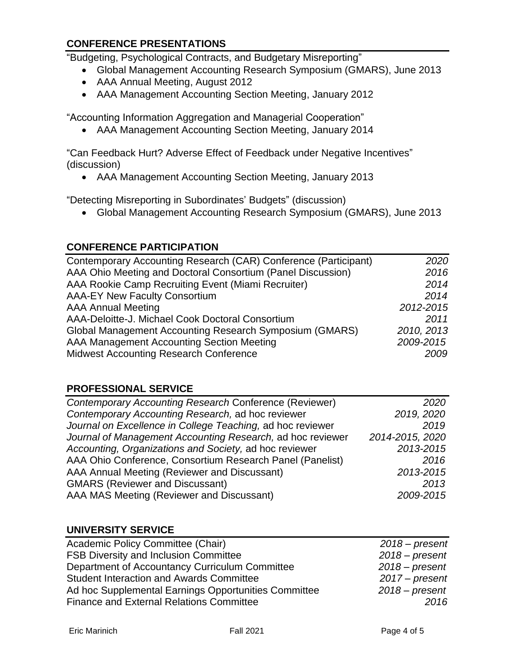## **CONFERENCE PRESENTATIONS**

"Budgeting, Psychological Contracts, and Budgetary Misreporting"

- Global Management Accounting Research Symposium (GMARS), June 2013
- AAA Annual Meeting, August 2012
- AAA Management Accounting Section Meeting, January 2012

"Accounting Information Aggregation and Managerial Cooperation"

• AAA Management Accounting Section Meeting, January 2014

"Can Feedback Hurt? Adverse Effect of Feedback under Negative Incentives" (discussion)

• AAA Management Accounting Section Meeting, January 2013

"Detecting Misreporting in Subordinates' Budgets" (discussion)

• Global Management Accounting Research Symposium (GMARS), June 2013

## **CONFERENCE PARTICIPATION**

| Contemporary Accounting Research (CAR) Conference (Participant) | 2020       |
|-----------------------------------------------------------------|------------|
| AAA Ohio Meeting and Doctoral Consortium (Panel Discussion)     | 2016       |
| AAA Rookie Camp Recruiting Event (Miami Recruiter)              | 2014       |
| <b>AAA-EY New Faculty Consortium</b>                            | 2014       |
| <b>AAA Annual Meeting</b>                                       | 2012-2015  |
| AAA-Deloitte-J. Michael Cook Doctoral Consortium                | 2011       |
| <b>Global Management Accounting Research Symposium (GMARS)</b>  | 2010, 2013 |
| AAA Management Accounting Section Meeting                       | 2009-2015  |
| <b>Midwest Accounting Research Conference</b>                   | 2009       |

## **PROFESSIONAL SERVICE**

| Contemporary Accounting Research Conference (Reviewer)     | 2020            |
|------------------------------------------------------------|-----------------|
| Contemporary Accounting Research, ad hoc reviewer          | 2019, 2020      |
| Journal on Excellence in College Teaching, ad hoc reviewer | 2019            |
| Journal of Management Accounting Research, ad hoc reviewer | 2014-2015, 2020 |
| Accounting, Organizations and Society, ad hoc reviewer     | 2013-2015       |
| AAA Ohio Conference, Consortium Research Panel (Panelist)  | 2016            |
| AAA Annual Meeting (Reviewer and Discussant)               | 2013-2015       |
| <b>GMARS (Reviewer and Discussant)</b>                     | 2013            |
| AAA MAS Meeting (Reviewer and Discussant)                  | 2009-2015       |

### **UNIVERSITY SERVICE**

| $2018 - present$ |
|------------------|
| $2018$ – present |
| $2018 - present$ |
| $2017$ – present |
| $2018 - present$ |
| 2016             |
|                  |